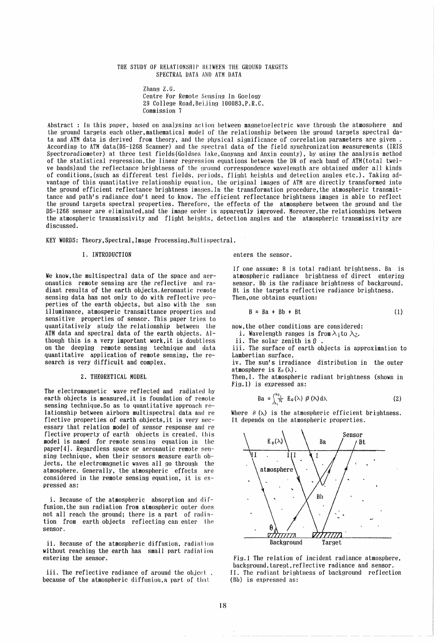## THE STUDY OF RELATIONSHIP BETWEEN THE GROUND TARGETS SPECTRAL DATA AND ATM DATA

 $Z$ hang  $Z$ .G. Centre For Remote Sensing In Goelogy 29 College Road, Beijing 100083, P.R.C. Commission 7

Ahstract : In this paper, based on analysing action between magnetoelectric wave through the atmosphere and the ground targets each other, mathematical model of the relationship between the ground targets spectral da-<br>ta and ATM data is derived from theory, and the physical significance of correlation parameters are given. According to ATM data (DS-1268 Scanner) and the spectral data of the field synchronization measurements (IRIS Spectroradiometer) at three test fields(Goldsea lake,Gaoyang and Anxin county), by using the analysis method of the statistical regression,the linear regression equations between the ON of each band of ATM(total twelve bands) and the reflectance brightness of the ground correspondence wavelength are obtained under all kinds of conditions, (such as different test fields, periods, flight heights and detection angles etc.). Taking advantage of this quantitative relationship equation, the original images of ATM are directly transformed into the ground efficient reflectance brightness images.In the transformation procedure,the atmospheric transmittance and path's radiance don't need to know. The efficient reflectance hrightness images is able to reflect the ground targets spectral properties. Therefore, the effects of the atmosphere between the ground and the DS-1268 sensor are eliminated,and the image order is apparently improved. Moreover,the relationships between the atmospheric transmissivity and flight heights, detection angles and the atmospheric transmissivity are discussed.

KEY WORDS: TheorY,Spectral,Image Processing,Multispectral.

#### 1. INTRODUCTION

We know,the multispectral data of the space and aeronautics remote sensing are the reflective and radiant results of the earth objects. Aeronautic remote sensing data has not only to do with reflective properties of the earth objects, but also with the sun illuminance, atmosperic transmittance properties and sensitive properties of sensor. This paper tries to quantitatively study the relationship between Lhe ATM data and spectral data of the earth objects. ALthough this is a very important work,it is doubtless on the deeping remote sensing technique and data quantitative application of remote sensing, the research is very difficult and complex.

#### 2. THEORETICAL MODEL

The electromagnetic wave reflected and radiated hy earth objects is measured,it is foundation of remote sensing technique. So as to quantitative approach relationship between airborn multispectral data and re flective properties of earth objects,it is very necessary that relation model of sensor response and re flective property of earth objects is created. this model is named for remote sensing equation in the paper[4]. Regardless space or aeronautic remote sensing technique, when their sensors measure earth ob jects, the electromagnetic waves all go through the atmosphere. Generally, the atmospheric effects are considered in the remote sensing equation, it is expressed as:

i. Because of the atmospheric absorption and diffusion,the sun radiation from atmospheric outer does not all reach the ground; there is a part of radiation from earth objects reflecting can enter the sensor.

ii. Because of the atmospheric diffusion, radiation without reaching the earth has small part radiation entering the sensor.

iii. The reflective radiance of around the object, because of the atmospheric diffusion, a part of that

### enters the sensor.

If one assume: B is total radiant brightness. Da is atmospheric radiance brightness of direct entering sensor. Bb is the radiance brightness of background. Bt is the targets reflective radiance brightness. Then,one obtains equation:

$$
B = Ba + Bb + Bt \tag{1}
$$

now, the other conditions are considered:

i. Wavelength ranges is from  $\lambda_1$  to  $\lambda_2$ .

ii. The solar zenith is  $\theta$ 

iii. The surface of earth objects is approximation to Lambertian surface.

iv. The sun's irradiance distribution in the outer atmosphere is  $E_0(\lambda)$ .

Then,I. The atmospheric radiant brightness (shown in Fig.l) is expressed as:

$$
\text{Ba} = \int_{\lambda_1}^{\lambda_2} E_o(\lambda) \ \beta \ (\lambda) \, \mathrm{d}\lambda \tag{2}
$$

Where  $\beta$  ( $\lambda$ ) is the atmospheric efficient brightness. It depends on the atmospheric properties.



Fig.l The relation of incident radiance atmosphere, background,taregt,reflective radiance and sensor. II. The radiant brightness of background reflection (flb) is expressed as: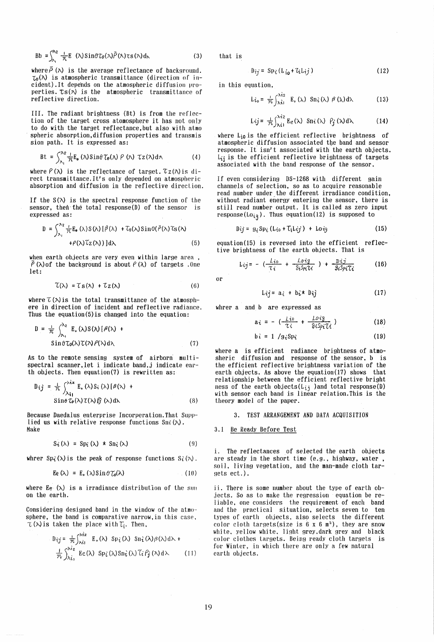$$
Bb = \int_{\lambda_1}^{\lambda_2} \frac{1}{\pi} E(\lambda) \sin \theta \tau_{\theta}(\lambda) \bar{P}(\lambda) \tau_{\mathcal{S}}(\lambda) d\lambda \tag{3}
$$

where  $\bar{\rho}$  ( $\lambda$ ) is the average reflectance of background.  $\tau_{\theta}(\lambda)$  is atmospheric transmittance (direction of incident). It depends on the atmospheric diffusion properties.  $\tau s(\lambda)$  is the atmospheric transmittance of reflective direction.

III. The radiant brightness (Bt) is from the reflection of the target cross atomosphere it has not only to do with the target reflectance, but also with atmo spheric absorption,diffusion properties and transmis sion path. It is expressed as:

$$
\text{Bt} = \int_{\lambda_1}^{\lambda_2} \frac{1}{\pi} \mathbb{E}_{\mathbf{e}} (\lambda) \sin \theta \, \mathcal{T}_{\mathbf{e}}(\lambda) \, P (\lambda) \, \mathcal{T}_{\mathbf{z}}(\lambda) \, d\lambda \tag{4}
$$

where  $P(\lambda)$  is the reflectance of target.  $\mathcal{T}_Z(\lambda)$  is direct transmittance. It's only depended on atmospheric absorption and diffusion in the reflective direction.

If the  $S(\lambda)$  is the spectral response function of the sensor, then the total response(D) of the sensor is expressed as:

$$
D = \int_{\lambda_1}^{\lambda_2} \frac{1}{N} E_6(\lambda) S(\lambda) [\beta(\lambda) + T_6(\lambda) Sin\theta(\bar{\rho}(\lambda)) \text{Cs}(\lambda)
$$
  
+ $\rho(\lambda) T_Z(\lambda)$ ) $d\lambda$  (5)

when earth objects are very even within large area ,  $\overline{P}(\lambda)$  of the background is about  $P(\lambda)$  of targets .One  $let:$ 

$$
\mathcal{T}(\lambda) = \mathcal{T} s(\lambda) + \mathcal{T} z(\lambda) \tag{6}
$$

where  $\mathcal{L}(\lambda)$  is the total transmittance of the atmosphere in direction of incident and reflective radiance. Thus the equation(5)is changed into the equation:

$$
D = \frac{1}{\pi} \int_{\lambda_1}^{\lambda_2} E_{\bullet}(\lambda) S(\lambda) [\beta(\lambda) + \sin \theta \tau_{0}(\lambda) \tau(\lambda) \beta(\lambda) d\lambda \qquad (7)
$$

As to the remote sensing system of airborn multispectral scanner,let i indicate band,j indicate earth objects. Then equation(7) is rewritten as:

$$
D_{ij} = \frac{1}{\pi} \int_{\lambda_{i}}^{\lambda_{i} z} E_{\alpha}(\lambda) S_{i}(\lambda) [\beta(\lambda) + S_{i} \sin \theta \tau_{0}(\lambda) \tau(\lambda) \hat{g}(\lambda) d\lambda
$$
 (8)

Because Daedalus enterprise Incorperation.That Supplied us with relative response functions Sni  $(\lambda)$ . Make

$$
S_{\hat{\mathbf{t}}}(\lambda) = Sp_{\hat{\mathbf{t}}}(\lambda) \star Sn_{\hat{\mathbf{t}}}(\lambda)
$$
 (9)

whrer Sp<sub>i</sub> $(\lambda)$  is the peak of response functions  $S_i(\lambda)$ .

$$
\text{Ee}(\lambda) = \text{E}_\bullet(\lambda) \sin \theta \, \mathcal{T}_\bullet(\lambda) \tag{10}
$$

where Ee  $(\lambda)$  is a irradiance distribution of the sun on the earth.

Considering designed band in the window of the atmo sphere, the band is comparative narrow, in this case,

$$
\tau(\lambda) \text{ is taken the place with } T_i. \text{ Then,}
$$
\n
$$
D_{ij} = \frac{1}{T^c} \int_{\lambda i_1}^{\lambda i_2} E_{\delta}(\lambda) \text{ Sp}_i(\lambda) \text{ Sn}_i(\lambda) \beta(\lambda) d\lambda + \frac{1}{T^c} \int_{\lambda i_1}^{\lambda i_2} E(\lambda) \text{ Sp}_i(\lambda) \text{Sn}_i(\lambda) \tilde{\ell}_i \beta_j(\lambda) d\lambda \qquad (11)
$$

that is

$$
D_{ij} = Sp_{\mathcal{E}}(L_{i\mathbf{0}} + L_{i}L_{i\mathbf{0}}) \qquad (12)
$$

in this equation,

$$
L_{\mathbf{t}\circ} = \frac{1}{\pi} \int_{\mathcal{N}\mathbf{t}1}^{\mathcal{N}2} E_{\circ}(\lambda) S n_{\mathbf{t}}(\lambda) \beta(\lambda) d\lambda
$$
 (13)

Lij =  $\frac{1}{\pi} \int_{\lambda i}^{\lambda i_2} E_e(\lambda)$  Sni ( $\lambda$ )  $P_j(\lambda) d\lambda$ (14)

where  $L_{i0}$  is the efficient reflective brightness of atmospheric diffusion associated tbe band and sensor response. It isn't associated with the earth objects.  $L_{ij}$  is the efficient reflective brightness of targets associated with the band response of the sensor.

If even considering DS-1268 with different gain channels of selection. so as to acquire reasonable read number under the different irradiance condition, without radiant energy entering the sensor, there is still read number output. It is called as zero input  $response(Lo_{iq})$ . Thus equation(12) is supposed to

$$
Dij = g_i Sp_i (Li_0 + T_i Lij) + Loig
$$
 (15)

equation(15) is reversed into the efficient reflective brightness of the earth objects. That is

$$
L_{ij} = -\left(\frac{Li_0}{\tau_i} + \frac{Loig}{\theta_i S_{Pl} \tau_i}\right) + \frac{Di \dot{J}}{g_i S_{Pl} \tau_i}
$$
 (16)

or

$$
Lij = a_i + b_i \star b_j \qquad (17)
$$

where a and b are expressed as  
\n
$$
a_{\hat{t}} = -\left(\frac{\mu_{\hat{t}0}}{\tau_{\hat{t}}} + \frac{\mu_{\hat{t}0}}{\vartheta_{\hat{t}}\vartheta_{\hat{t}}}\right)
$$
\n(18)

$$
b\hat{\iota} = 1 / g_{\hat{\iota}} Sp_{\hat{\iota}}
$$
 (19)

where a is efficient radiance brightness of atmosheric diffusion and response of the sensor, b is the efficient reflective brightness variation of the earth objects. As above the equation(17) shows that relationship between the efficient reflective bright ness of the earth objects( $L_{ij}$ ) and total response(D) with sensor each band is linear relation. This is the theory model of the paper.

#### 3. TEST ARRANGEMENT AND DATA ACQUISITION

### 3.1 Be Ready Before Test

i. The reflectances of selected the earth objects are steady in the short time (e.g., highway, water, soil, living vegetation, and the man-made cloth targets ect.).

ii. There is some number about the type of earth objects. So as to make the regression equation be reliable. one considers the requirement of each band and the practical situation, selects seven to ten types of earth objects, also selects the different color cloth targets(size is  $6 \times 6$  m<sup>2</sup>), they are snow white, yellow white, light grey, dark grey and black color clothes targets. Being ready cloth targets is for Winter, in which there are only a few natural earth objects.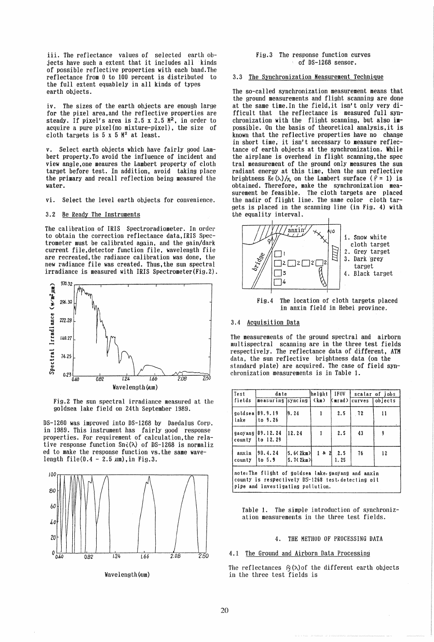iii. The reflectance values of selected earth objects have such a extent that it includes all kinds of possible reflective properties with each band. The reflectance from 0 to 100 percent is distributed to the full extent equablely in all kinds of types earth objects.

iv. The sizes of the earth objects are enough large for the pixel area. and the reflective properties are steady. If pixel's area is  $2.5 \times 2.5$   $M^2$ , in order to acquire a pure pixel(no mixture-pixel), the size of cloth targets is  $5 \times 5$   $\mathbb{N}^2$  at least.

v. Select earth objects which have fairly good Lambert property. To avoid the influence of incident and view angle,one meaures the Lambert property of cloth target before test. In addition, avoid taking place the primary and recall reflection being measured the water.

vi. Select the level earth objects for convenience.

## 3.2 Be Ready The Instruments

The calibration of IRIS Spectroradiometer. In order to obtain the correction reflectance data,IRIS Spectrometer must be calibrated again, and the gain/dark current file,detector function file, wavelength file are recreated,the radiance calibration was done, the new radiance file was created. Thus,the sun spectral irradiance is measured with IRIS Spectrometer(Fig.2).



Fig.2 The sun spectral irradiance measured at the goldsea lake field on 24th September 1989.

DS-1260 was improved into DS-1268 by Daedalus Corp. in 1989. This instrument has fairly good response properties. For requirement of calculation. the relative response function  $\text{Sn}(X)$  of DS-1268 is normaliz ed to make the response function vs.the same wavelength file $(0.4 - 2.5 \text{ nm})$ , in Fig.3.



Wavelength (Aum)

## Fis.3 The response function curves of DS-1268 sensor.

#### 3.3 The Synchronization Measurement Technique

The so-called synchronization measurement means that the ground measurements and flight scanning are done at the same time.In the field,it isn't only very difficult that the reflectance is measured full synchronization with the flight scanning, but also impossible. On the basis of theoretical analysis,it is known that the reflective properties have no change in short time, it isn't necessary to measure reflectance of earth ob,jects at the synchronization. While the airplane is overhead in flight scanning, the spec tral measurement of the ground only measures the sun radiant energy at this time, then the sun reflective brightness Ee  $(\lambda)/_{\pi}$  on the Lambert surface ( $\ell = 1$ ) is obtained. Therefore, make the synchronization measurement be feasible. The cloth targets are placed the nadir of flight line. The same color cloth targets is placed in the scanning line (in Fig. 4) with the equality interval.



Fig.4 The location of cloth targets placed in anxin field in Hebei province.

#### 3.4 Acquisition Data

The measurements of the ground spectral and airborn multispectral scanning are in the three test fields respectively. The reflectance data of different, ATM data, the sun reflective brightness data (on the standard plate) are acquired. The case of field synchronization measurements is in Table 1.

| Test            | date                                                                                                    |                      | helght | I IFOV                   |        | scalar of jobs |  |  |  |  |  |
|-----------------|---------------------------------------------------------------------------------------------------------|----------------------|--------|--------------------------|--------|----------------|--|--|--|--|--|
| lfields         | measuring syncing                                                                                       |                      | (km)   | Kmrad)                   | curves | lobjects       |  |  |  |  |  |
| lake            | goldsen[89.9.19]<br>ito 9.26                                                                            | 9.24                 |        | 2.5                      | - 72   | 11             |  |  |  |  |  |
| county          | gaoyang 89.12.24<br>lto 12.29                                                                           | 12.24                |        | 2.5                      | 43     | 9              |  |  |  |  |  |
| anxin<br>county | 90.4.24<br>to 5.9                                                                                       | 5.6(2km)<br>5.7(2km) |        | $1 \times 2$ 2.5<br>1.25 | 76     | 12             |  |  |  |  |  |
|                 | note: The flight of goldsea lake gaoyang and anxin<br>county is respectively DS-1268 test detecting oil |                      |        |                          |        |                |  |  |  |  |  |

pipe and investigating pollution.

Table 1. The simple introduction of synchronization measurements in the three test fields.

## 4. THE METHOD OF PROCESSING DATA

4.1 The Ground and Airborn Data Processing

The reflectances  $P_f(\lambda)$  of the different earth objects in the three test fields is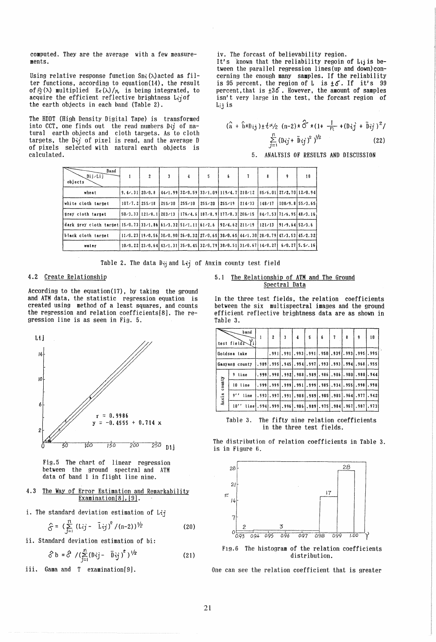computed. They are the average with a few measurements.

Using relative response function  $\text{Sn} \text{·} (\lambda)$  acted as filter functions, according to equation(14) , the result of  $C_f(\lambda)$  multiplied  $E_e(\lambda)/\pi$  is being integrated, to acquire the efficient reflective brightness  $Li<sub>i</sub>$  of the earth objects in each band (Table 2).

The HOOT (High Density Digital Tape) is transformed into CCT, one finds out the read numbers D $\vec{\imath}$  of natural earth objects and cloth targets. As to cloth targets, the  $D+j$  of pixel is read, and the average  $D$ calculated.

iv. The forcast of believability region.

It's known that the reliability regoin of  $L_{ij}$  is between the parallel regression lines(up and down)concerning the enough many samples. If the reliability is 95 percent, the region of L is  $\pm 6$ . If it's 99 percent,that is ±36. However, the amount of samples isn't very large in the test, the forcast region of  $L_i$ *i* is

$$
(\hat{a} + \hat{b} \times b_{ij}) \pm t \times (n-2) \times \hat{G} \times (1 + \frac{1}{n} + (b_{ij} + \bar{b}_{ij})^2) \n\sum_{j=1}^{n} (b_{ij} + \bar{b}_{ij})^2)^{1/2}
$$
\n(22)

5. ANALYSIS OF RESULTS AND DISCUSSION

| of pixels selected with natural earth objects is                               |                      |                                                        |        |        |                                                                                                                                  |                     |    | $1 = 1$  |                                                |    |
|--------------------------------------------------------------------------------|----------------------|--------------------------------------------------------|--------|--------|----------------------------------------------------------------------------------------------------------------------------------|---------------------|----|----------|------------------------------------------------|----|
| calculated.                                                                    |                      |                                                        |        |        |                                                                                                                                  |                     | 5. |          | ANALYSIS OF RESUI                              |    |
|                                                                                |                      |                                                        |        |        |                                                                                                                                  |                     |    |          |                                                |    |
| Band<br>Dij/Lij<br>objects                                                     | $\mathbf{1}$         | $\overline{c}$                                         | 3      | 4      | 5                                                                                                                                | 6                   | 7  | 8        | 9                                              | 10 |
| wheat                                                                          |                      | $9.4 - 31120 - 0.8$                                    |        |        | $\left[44/1,99\right]32/0.59\right]33/1.09\right]119/4.7\left[210/12\right]$                                                     |                     |    |          | 85⁄6.01   27⁄2.70   12⁄0.94                    |    |
| white cloth target                                                             | $107 - 7.21255 - 18$ |                                                        | 255/30 | 255/10 | 255/20                                                                                                                           | $1255/19$ $1214/33$ |    | 148 / 17 | $100/9.8$ 55/3.65                              |    |
| grey cloth target                                                              |                      | $50 \times 3.33$   121 $\times$ 8. 1   203 $\times$ 13 |        |        | $1176 \times 4.6$ $187 \times 8.9$ $177 \times 8.3$ $206 \times 15$ $84 \times 7.53$ $71 \times 6.95$ $48 \times 3.16$           |                     |    |          |                                                |    |
| dark grey cloth target $15/0.73$ 33/1.86 61/3.32 51/1.11 61/2.6 92/4.62 211/19 |                      |                                                        |        |        |                                                                                                                                  |                     |    |          | $121 \times 13$   91 \cdot 9.64   52 \cdot 3.6 |    |
| black cloth target                                                             |                      |                                                        |        |        | $11/0.23$ $(19/0.56)$ $30/0.90$ $26/0.32$ $(27/0.65)$ $30/0.65$ $(44/1.30)$ $28/0.79)$ $47/3.53$ $(45/2.32)$                     |                     |    |          |                                                |    |
| water                                                                          |                      |                                                        |        |        | $10$ $-0.22$ $23$ $-0.64$ $3$ $-1.31$ $35$ $-0.45$ $32$ $-0.79$ $30$ $-0.51$ $31$ $-0.67$ $14$ $-0.27$ $6$ $-0.27$ $5.5$ $-0.16$ |                     |    |          |                                                |    |

Table 2. The data Dij and Lij of Anxin county test field

# 4.2 Create Relationship

According to the equation(17), by taking the ground and ATM data, the statistic regression equation is created using method of a least squares, and counts the regression and relation coefficients[8]. The regression line is as seen in Fig. 5.



Fig.5 The chart of linear regression between the ground spectral and ATM data of band 1 in flight line nine.

- 4.3 The Way of Error Estimation and Remarkability Examination $[8]$ ,  $[9]$ .
- i. The standard deviation estimation of  $L_{ij}$

$$
\hat{S} = (\sum_{j=1}^{n} (Li)^{2} - Li)^{2} / (n-2) \frac{1}{2}
$$
 (20)

ii. Standard deviation estimation of bi:

$$
\hat{\delta} b = \hat{\delta} / (\sum_{j=1}^{n} (D \hat{\iota} j - \bar{D} \hat{\iota} j)^{2})^{1/2}
$$
 (21)

iii. Gama and T examination[9].

### 5.1 The Relationship of ArM and The Ground Spectral Data

In the three test fields, the relation coefficients between the six multispectral images and the ground efficient reflective brightness data are as shown in Table 3.

| Table 3. |                     |       |      |   |   |                                                              |   |   |   |      |
|----------|---------------------|-------|------|---|---|--------------------------------------------------------------|---|---|---|------|
|          | band<br>test fields | 1     | 2    | 3 | 4 | 5                                                            | 6 | 8 | 9 | 10   |
|          | Goldsea lake        |       |      |   |   | .991   .991   .993   .991   .950   .939   .993   .995   .995 |   |   |   |      |
|          | Gaoyang county      |       |      |   |   | .989.995.945.9941.997.9931.9931.994.968.                     |   |   |   | .955 |
|          | 9 line              | .999. | .998 |   |   | .992 .988 .989 .986 .986 .980 .980 .944                      |   |   |   |      |
| county   | $10$ line           |       |      |   |   |                                                              |   |   |   |      |
| Anxin    | 9'<br>line          |       |      |   |   | .993, .997, .991, .988, .989, .985, .985, .964, .977, .942   |   |   |   |      |
|          | 10'                 |       |      |   |   | line .994 .999 .996 .986 .989 .975 .984 .967 .987 .973       |   |   |   |      |

Table 3. The fifty nine relation coefficients in the three test fields.

The distribution of relation coefficients in Table 3. is in Figure 6.



Fig.6 The histogram of the relation coefficients distribution.

One can see the relation coefficient that is greater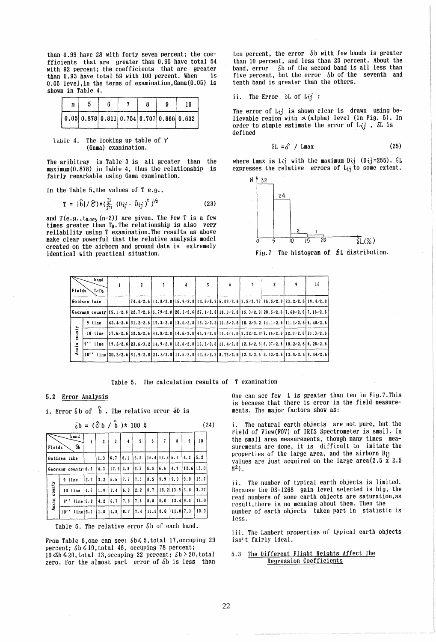than 0.99 have 28 with forty seven percent; the coefficients that are greater than 0.95 have total 54 with 92 percent; the coefficients that are greater<br>than 0.93 have total 59 with 100 percent. When is than  $0.93$  have total 59 with 100 percent. When 0.05 level,in the terms of examination,Gama(0.05) is shown in Table 4.

|  |  |  | -9 | 10                                                                                   |
|--|--|--|----|--------------------------------------------------------------------------------------|
|  |  |  |    | $\vert 0.05 \vert 0.878 \vert 0.811 \vert 0.754 \vert 0.707 \vert 0.666 \vert 0.632$ |

laule 4. The looking up table of *y*  (Gama) examination.

The aribitray in Table 3 is all greater than the maximum(0.878) in Table 4, thus the relationship is fairly remarkable using Gama examination.

In the Table 5, the values of  $T$  e.g.,

$$
T = |\hat{b}| / \hat{G} \times (\frac{r!}{f_{\text{eq}}} (b_{ij} - \bar{b}_{ij})^2)^{1/2}
$$
 (23)

and  $T(e.g.,t_{0.025} (n-2))$  are given. The Few T is a few times greater than  $T_{\theta}$ . The relationship is also very reliability using T examination. The results as above make clear powerful that the relative analysis model created on the airborn and ground data is extremely identical with practical situation.

ten percent, the error  $\delta$ b with few bands is greater than 10 percent, and less than 20 percent. About the band, error  $\delta b$  of the second band is all less than *five percent, but the error*  $\delta$ b of the seventh and tenth band is greater than the others.

ii. The Error 
$$
\delta L
$$
 of  $Lij$ :

The error of  $L_{ij}$  is shown clear is drawn using believable region with  $\alpha$  (alpha) level (in Fig. 5). In order to simple estimate the error of  $L\{j\}$ ,  $\delta L$  is defined

$$
\delta L = \hat{\delta} / Lmax
$$
 (25)

where Lmax is Lij with the maximum Dij (Dij=255).  $\delta$ L expresses the relative errors of  $L_{ij}$  to some extent.



Fig.7 The histogram of  $5L$  distribution.

| Fields       | band<br>√T∠Te                                                                                                                                                       | $\overline{\mathbf{2}}$                                                                                                                                                                                                                                                                                                                 | 3 | 4 | 5. | 6                                                                                                                                                                                  | 8 | q | 10 |
|--------------|---------------------------------------------------------------------------------------------------------------------------------------------------------------------|-----------------------------------------------------------------------------------------------------------------------------------------------------------------------------------------------------------------------------------------------------------------------------------------------------------------------------------------|---|---|----|------------------------------------------------------------------------------------------------------------------------------------------------------------------------------------|---|---|----|
|              | Goldsea lake                                                                                                                                                        |                                                                                                                                                                                                                                                                                                                                         |   |   |    | $174.4 \times 2.6$   14.8 $\times$ 2.8   16.9 $\times$ 2.8   14.6 $\times$ 2.8   6.08 $\times$ 2.8   5.5 $\times$ 2.77   16.5 $\times$ 2.8   23.2 $\times$ 2.6   19.4 $\times$ 2.8 |   |   |    |
|              | Gaoyang county   15, 1, 2, 6   22, 7 / 2, 6   5, 79 / 2, 8   20, 2 / 2, 6   27, 1 / 2, 8   18, 3 / 2, 8   15, 3 / 2, 8   20, 5 / 2, 6   7, 68 / 2, 6   7, 16 / 2, 6 |                                                                                                                                                                                                                                                                                                                                         |   |   |    |                                                                                                                                                                                    |   |   |    |
|              | 9 line                                                                                                                                                              | $\left[42, 4/2, 6\right]31, 2/2, 6\left[15, 3/2, 8\right]13, 9/2, 8\left[13, 2/2, 8\right]11, 8/2, 8\left[10, 2/3, 2\right]11, 1/2, 6\left[11, 1/2, 6\right]6, 40/2, 6$                                                                                                                                                                 |   |   |    |                                                                                                                                                                                    |   |   |    |
| county       | 10 line                                                                                                                                                             | $\left[57, 6 \times 2, 6\right]$ $\left[52, 5 \times 2, 6\right]$ $\left[41, 8 \times 2, 8\right]$ $\left[4, 6 \times 2, 8\right]$ $\left[44, 9 \times 2, 8\right]$ $\left[1, 4 \times 2, 8\right]$ $\left[5, 22 \times 2, 8\right]$ $\left[7, 16 \times 2, 6\right]$ $\left[32, 7 \times 2, 6\right]$ $\left[31, 3 \times 2, 6\right]$ |   |   |    |                                                                                                                                                                                    |   |   |    |
| <b>Anxin</b> | q / /<br>line                                                                                                                                                       | $(19, 2/2, 6 23, 6/3, 2 14, 9/2, 8 12, 6/2, 8 13, 3/2, 8 11, 4/2, 8 12, 6/2, 6 8, 07/2, 6 10, 2/2, 6 6, 28/2, 6 10, 2/2, 6 10, 2/2, 6 10, 2/2, 6 10, 2/2, 6 12, 2/2, 6 12, 2/2, 6 12, 2/2, 6 12, 2/2, 6 12, 2/2, 6 12, 2/2, 6$                                                                                                          |   |   |    |                                                                                                                                                                                    |   |   |    |
|              | 10''                                                                                                                                                                | line 20. 2/2. 6 51. 9/2. 8 21. 2/2. 8 11. 6/2. 8 13. 6/2. 8 8. 75/2. 8 12. 5/2. 6 8. 53/2. 6 13. 5/2. 6 9. 44/2. 6                                                                                                                                                                                                                      |   |   |    |                                                                                                                                                                                    |   |   |    |

Table 5. The calculation results of T examination

# 5.2 Error Analysis

i. Error  $\delta b$  of  $\hat{b}$ . The relative error  $\delta b$  is

|        |                    |     | $\delta b = (\hat{\sigma} b / \hat{b}) \times 100 \text{ X}$ |              |                         |      |                 |     |                     |             | (24) |
|--------|--------------------|-----|--------------------------------------------------------------|--------------|-------------------------|------|-----------------|-----|---------------------|-------------|------|
| Fields | band<br>бb         | 1   | $\overline{c}$                                               | $\mathbf{3}$ | $\overline{\mathbf{4}}$ | 5    | 6               | 7   | 8                   | 9           | 10   |
|        | Goldsea lake       |     | 1.3                                                          | 16.7         | 6.1                     | 6.8  | $16.4$ 18.2 6.1 |     |                     | 14.2        | 5.2  |
|        | Gaoyang county 6.5 |     | 4.3                                                          | $17.3$ 4.8   |                         | 3.8  | 5.5             | 6.6 | 4.9                 | $12.6$ 13.0 |      |
|        | 9 line             | 2.3 | 3.2                                                          | 16.6         | 7.7                     | 17.5 | 8.5             | 9.9 | 19.0                | 9.0         | 15.7 |
| county | 10 line            | 1.7 | 1.9                                                          | 2.4          | 6.8                     | 2.2  | 8.7             |     | $19.2$   13.9   3.0 |             | 3.27 |
| Anxin  | $9''$ . line $5.2$ |     | 4.2                                                          | 16.7         | 7.8                     | 17.6 | 8.8             | 8.0 | 12.419.8            |             | 16.0 |
|        | 10'<br>line[5.1]   |     | i 1.8                                                        | 4.8          | 8.7                     | 17.4 | 111.8 8.0       |     | 111.817.3           |             | 10.3 |

Table 6. The relative error  $\delta$ b of each band.

From Table 6, one can see:  $\delta b \leq 5$ , total 17, occuping 29 percent;  $\delta b \leq 10$ , total 46, occuping 78 percent;  $10 \le b \le 20$ , total 13, occuping 22 percent;  $\delta b > 20$ , total zero. For the almost part error of  $\delta b$  is less than One can see few L is greater than ten in Fig.7.This is because that there is error in the field measurements. The major factors show as:

i. The natural earth objects are not pure, but the Field of View(FOV) of IRIS Spectrometer is small. In the small area measurements, though many times measurements are done, it is difficult to imitate the properties of the large area, and the airborn Dij values are just acquired on the large area(2.5 x 2.5 M2).

ii. The number of typical earth objects is limited. Because the DS-1268 gain level selected is big, the read numbers of some earth objects are saturation,as result,there is no menaing about them. Then the number of earth objects taken part in statistic is less.

iii. The Lambert properties of typical earth objects isn't fairly ideal.

# *5.3 The* Different Flight Heights Affect The Regression Coefficients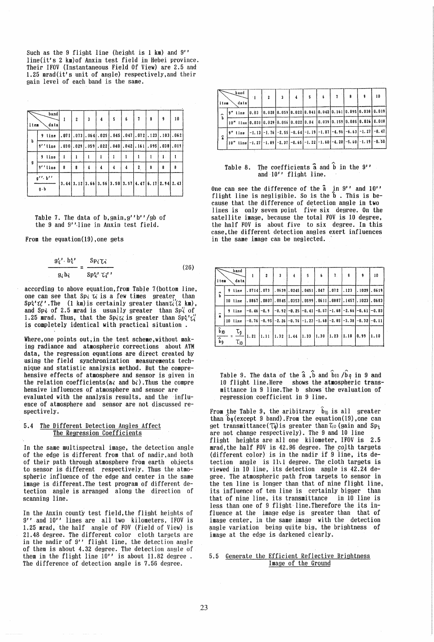Such as the 9 flight line (height is  $1 \text{ km}$ ) and  $9'$ ' line(it's 2 km)of Anxin test field in Hebei province. Their IFOV (Instantaneous Field Of View) are 2.5 and 1.25 mrad(it's unit of angle) respectively, and their gain level of each band is the same.

| item | band<br>data                   | 1    | $\overline{2}$ | 3 | 4                                                                              | 5 | 6 | 7                         | 8 | 9            | 10 |
|------|--------------------------------|------|----------------|---|--------------------------------------------------------------------------------|---|---|---------------------------|---|--------------|----|
|      | 9 line                         | .071 |                |   | $.073$ , $.064$ , $.025$ , $.045$ , $.047$ , $.072$ , $.123$ , $.103$ , $.062$ |   |   |                           |   |              |    |
| b    | $9'$ 'line                     |      | $.030$ .029    |   | $.059$ .022.040.042.161                                                        |   |   |                           |   | .095.038.019 |    |
|      | 9 line                         | i    |                |   |                                                                                |   |   |                           |   | 1.           |    |
| g    | 9''line                        | 8    | 8              | 4 | 4                                                                              | 4 | 4 | $\mathbf{2}_{\mathrm{c}}$ | 8 | 8            | 8  |
|      | $g'' \cdot b''$<br>$g \cdot b$ |      |                |   | $3.44$ $3.12$ $3.66$ $3.56$ $3.50$ $3.57$ $4.47$ $6.17$ $2.94$ $2.43$          |   |   |                           |   |              |    |

Table 7. The data of b, gain, g''b''/gb of the 9 and 9" ·line in Anxin test field.

From the equation(19) ,one gets

$$
\frac{g_{\mathcal{U}}^{\prime} \cdot b_{\mathcal{U}}^{\prime}}{g_{\mathcal{U}} b_{\mathcal{U}}} = \frac{Sp_{\mathcal{U}} \mathcal{U}}{Sp_{\mathcal{U}}^{\prime} \cdot \mathcal{U}^{\prime}}
$$
 (26)

according to above equation,from Table 7(bottom line, one can see that  $\text{Sp}_i$   $\alpha$  is a few times greater than  $Sp\{T'_{\mathcal{U}}\}$ . The (1 km) is certainly greater than  $\tau_i'(2 \text{ km})$ , and Spi of 2.5 mrad is usually greater than  $Sp_i'$  of 1.25 mrad. Thus, that the Spitis greater than  $\text{Sp}_i^{\nu}i_i^{\nu}$ is completely identical with practical situation.

Where, one points out, in the test scheme, without making radiance and atmospheric corrections about ArM data, the regression equations are direct created by using the field synchronization measurements technique and statistic analysis method. But the comprehensive effects of atmosphere and sensor is given in the relation coefficients( $a_i$  and  $b_i$ ). Thus the compre hensive influences of atmosphere and sensor are evaluated with the analysis results, and the influ-

ence of atmosphere and sensor are not discussed respectively.

# 5.4 The Different Detection Angles Affect The Regression Coefficients

In the same multispectral image, the detection angle of the edge is different from that of nadir,and both of their path through atmosphere from earth objects to sensor is different respectively. Thus the atmospheric influence of the edge and center in the same image is different. The test program of different detection angle is arranged along the direction of scanning line.

In the Anxin county test field, the flight heights of 9'' and 10'' lines are all two kilometers, IFOV is 1.25 mrad, the half angle of FOV (Field of View) is 21.48 degree. The different color cloth targets are in the nadir of  $9''$  flight line, the detection angle of them is about 4.32 degree. The detection angle of them in the flight line  $10'$ ' is about 11.82 degree The difference of detection angle is 7.56 degree.

| litem    | $\smile$ band<br>, data                                                                                                                                                                                                                                                    | - 1 | 2 |  | 5 |  |  | 10                                                                                                                                                                                                                                                                             |
|----------|----------------------------------------------------------------------------------------------------------------------------------------------------------------------------------------------------------------------------------------------------------------------------|-----|---|--|---|--|--|--------------------------------------------------------------------------------------------------------------------------------------------------------------------------------------------------------------------------------------------------------------------------------|
| $\hat{}$ | 9" line                                                                                                                                                                                                                                                                    |     |   |  |   |  |  | $[0.03 \;   0.028 \;   0.059 \;   0.022 \;   0.041 \;   0.042 \;   0.161 \;   0.095 \;   0.038 \;   0.019 \;   0.019 \;   0.010 \;   0.011 \;   0.011 \;   0.011 \;   0.011 \;   0.012 \;   0.013 \;   0.014 \;   0.015 \;   0.014 \;   0.015 \;   0.016 \;   0.017 \;   0.01$ |
| b        | 10" line 0.031 0.029 0.056 0.022 0.04 0.039 0.159 0.085 0.036 0.018                                                                                                                                                                                                        |     |   |  |   |  |  |                                                                                                                                                                                                                                                                                |
|          | 9" line                                                                                                                                                                                                                                                                    |     |   |  |   |  |  | $[-1, 13]$ -1, 76 $[-2, 55]$ -0, 64 $[-1, 19]$ -1, 87 $[-4, 96]$ -6, 63 $*$ 1, 27 $[-0, 47]$                                                                                                                                                                                   |
| â        | $\begin{bmatrix} 10 \end{bmatrix}$ " Line $\begin{bmatrix} -1.27 \end{bmatrix}$ - 1.89 $\begin{bmatrix} -2.37 \end{bmatrix}$ - 0.65 $\begin{bmatrix} -1.22 \end{bmatrix}$ - 1.60 $\begin{bmatrix} -4.20 \end{bmatrix}$ - 5.60 $\begin{bmatrix} -1.19 \end{bmatrix}$ - 0.50 |     |   |  |   |  |  |                                                                                                                                                                                                                                                                                |

## Table 8. The coefficients  $\hat{a}$  and  $\hat{b}$  in the  $9''$ and  $10'$  flight line.

One can see the difference of the a in 9" and *10"*  flight line is negligible. So is the b . This is because that the difference of detection angle in two lines is only seven point five six degree. On the satellite image, because the total FOV is 10 degree, the half FOV is about five to six degree. In this case,the different detection angles exert influences in the same image can be neglected.

| item                                 | band<br>data |                | $\overline{c}$ | $\mathbf{3}$ | $\overline{4}$                       | 5 | 6 | 7.             | 8      | 9                                                               | 10                                                                              |
|--------------------------------------|--------------|----------------|----------------|--------------|--------------------------------------|---|---|----------------|--------|-----------------------------------------------------------------|---------------------------------------------------------------------------------|
| î                                    | 9 line       | . 07141. 073   |                |              | $.0639$ , $.0245$ , $.0451$ , $.047$ |   |   | I. 072         | I. 123 | . 1029   . 0619                                                 |                                                                                 |
|                                      | 10 line      |                |                |              |                                      |   |   |                |        |                                                                 | . 0867  . 0807  . 0845  . 0353  . 0599  . 0611  . 0887  . 1457  . 1023  . 0683  |
| $\hat{\bf a}$                        | 9 line       | $-0.46$ $-0.9$ |                |              |                                      |   |   |                |        | $-0.92$ $-0.25$ $-0.41$ $-0.57$ $-1.68$ $-2.66$ $-0.61$ $-0.03$ |                                                                                 |
|                                      | 10 line      |                |                |              |                                      |   |   |                |        |                                                                 | $-0.76$ $-0.95$ $-2.26$ $-0.76$ $-1.23$ $-1.68$ $-2.85$ $-3.38$ $-6.32$ $-0.11$ |
| $\hat{b}$ 10<br>$\overline{\hat{b}}$ | τg<br>τю     | 1.21           | 1.11           |              |                                      |   |   | 1.30 1.23 1.18 |        | 10.99                                                           | 1.10                                                                            |

Table 9. The data of the  $\hat{a}$ ,  $\hat{b}$  and  $\hat{b}$ <sub>10</sub> / $\hat{b}$ <sub>q</sub> in 9 and 10 flight line.Here shows the atmospheric transmittance in 9 line.The b shows'the evaluation of regression coefficient in 9 line.

From the Table 9, the aribitrary  $\hat{\mathbf{b}}_{\mathsf{IO}}$  is all greater than  $\hat{b}$ g(except 9 band).From the equation(19), one can get transmittance( $\tau_{q}$ ) is greater than  $\tau_{10}$  (gain and Sp<sub>i</sub> are not change respectively). The 9 and 10 line flight heights are all one kilometer. IFOV is 2.5 mrad, the half FOV is 42.96 degree. The colth targets (different color) is in the nadir if *B* line, its detection angle is 11'.1 degree. The cloth targets is viewed in 10 line, its detection angle is 42.24 degree. The atmospheric path from targets to sensor in the ten line is longer than that of nine flight line. its influence of ten line is certainly bigger than that of nine line, its transmittance in 10 line is less than one of 9 flight line. Therefore the its influence at the image edge is greater than that of image center, in the same image with the detection angle variation being quite big, the brightness of image at the edge is darkened clearly.

### 5.5 Generate the Efficient Reflective Brightness Image of the Ground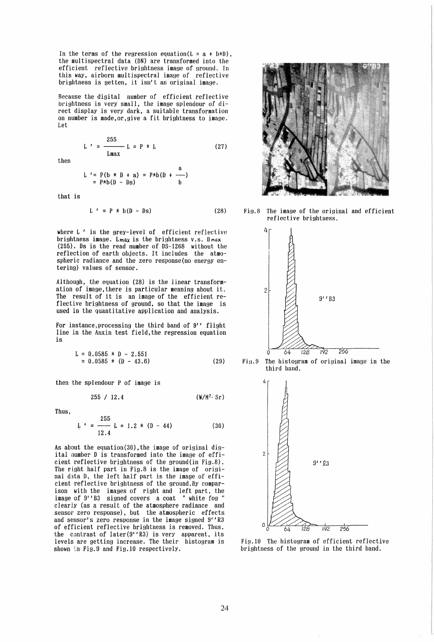In the terms of the regression equation( $L = a + b * D$ ), the multispectral data (DN) are transformed into the efficient reflective brightness image of ground. In this way, airborn multispectral image of reflective brightness is getten, it isn't an original image.

Because the digital number of efficient reflective brightness is very small, the image splendour of direct display is very dark, a suitable transformation on number is made,or.give a fit brightness to image. Let

$$
L' = \frac{255}{Lmax} L = P * L \qquad (27)
$$

then

$$
L' = P(b * D + a) = P * b(D + \frac{a}{b})
$$
  
=  $P * b(D - bs)$ 

that is

$$
L' = P * b(D - DS)
$$
 (28)

where L' is the grey-level of efficient reflective brightness image. Lmax is the brightness v.s. Dmax (255). Ds is the read number of 08-1268 without the reflection of earth objects. It includes the atmospheric radiance and the zero response(no energy entering) values of sensor.

Although, the equation (28) is the linear transformation of image,there is particular meaning about it. The result of it is an image of the efficient reflective brightness of ground, so that the image is used in the quantitative application and analysis.

For instance, processing the third band of  $9'$  flight line in the Anxin test field,the regression equation is

$$
L = 0.0585 \times D - 2.551
$$
  
= 0.0585 \times (D - 43.6) (29)

then the splendour P of image is

$$
255 / 12.4 \qquad (\mathbf{W}/\mathbf{M}^2 \cdot \mathbf{S}_\Gamma)
$$

Thus,

$$
L' = \frac{255}{12.4} L = 1.2 \times (D - 44)
$$
 (30)

As about the equation(30), the image of original digital number 0 is transformed into the image of efficient reflective brightness of the ground(in Fig.8). The right half part in Fig.8 is the image of original data D, the left half part is the image of efficient reflective brightness of the ground.By comparison with the images of right and left part. the image of 9''B3 signed covers a coat "white fog " clearly (as a result of the atmosphere radiance and sensor zero response), but the atmospheric effects and sensor's zero response in the image signed *9*1/ *R3*  of efficient reflective brightness is removed. Thus, the contrast of later $(9'$ 'R3) is very apparent, its levels are getting increase. The their histogram is shown in Fig.9 and Fig.10 respectively.



Fi9.8 The image of the original and efficient reflective brightness.







Fig.IO The histogram of efficient reflective brightness of the ground in the third band.